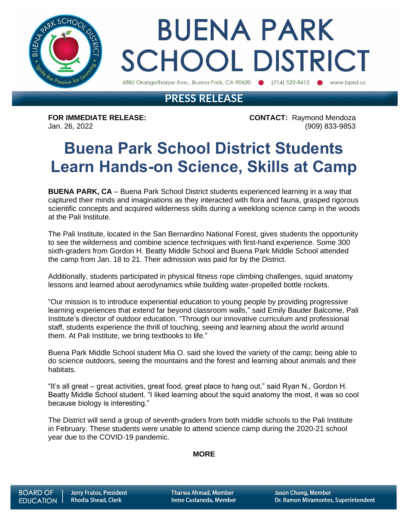

# **BUENA PARK SCHOOL DISTRICT**

6885 Orangethorpe Ave., Buena Park, CA 90620 (714) 522-8412 www.bpsd.us

### **PRESS RELEASE**

**FOR IMMEDIATE RELEASE: CONTACT:** Raymond Mendoza Jan. 26, 2022 (909) 833-9853

## **Buena Park School District Students Learn Hands-on Science, Skills at Camp**

**BUENA PARK, CA** – Buena Park School District students experienced learning in a way that captured their minds and imaginations as they interacted with flora and fauna, grasped rigorous scientific concepts and acquired wilderness skills during a weeklong science camp in the woods at the Pali Institute.

The Pali Institute, located in the San Bernardino National Forest, gives students the opportunity to see the wilderness and combine science techniques with first-hand experience. Some 300 sixth-graders from Gordon H. Beatty Middle School and Buena Park Middle School attended the camp from Jan. 18 to 21. Their admission was paid for by the District.

Additionally, students participated in physical fitness rope climbing challenges, squid anatomy lessons and learned about aerodynamics while building water-propelled bottle rockets.

"Our mission is to introduce experiential education to young people by providing progressive learning experiences that extend far beyond classroom walls," said Emily Bauder Balcome, Pali Institute's director of outdoor education. "Through our innovative curriculum and professional staff, students experience the thrill of touching, seeing and learning about the world around them. At Pali Institute, we bring textbooks to life."

Buena Park Middle School student Mia O. said she loved the variety of the camp; being able to do science outdoors, seeing the mountains and the forest and learning about animals and their habitats.

"It's all great – great activities, great food, great place to hang out," said Ryan N., Gordon H. Beatty Middle School student. "I liked learning about the squid anatomy the most, it was so cool because biology is interesting."

The District will send a group of seventh-graders from both middle schools to the Pali Institute in February. These students were unable to attend science camp during the 2020-21 school year due to the COVID-19 pandemic.

#### **MORE**